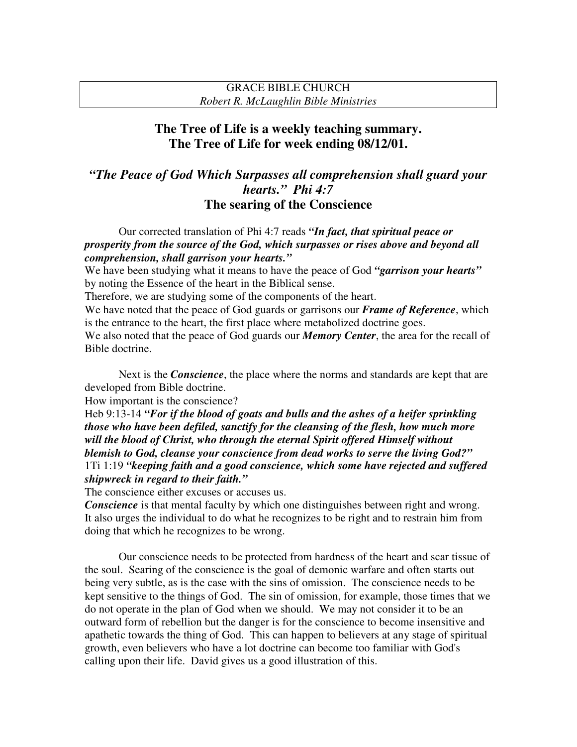### GRACE BIBLE CHURCH *Robert R. McLaughlin Bible Ministries*

# **The Tree of Life is a weekly teaching summary. The Tree of Life for week ending 08/12/01.**

# *"The Peace of God Which Surpasses all comprehension shall guard your hearts." Phi 4:7* **The searing of the Conscience**

Our corrected translation of Phi 4:7 reads *"In fact, that spiritual peace or prosperity from the source of the God, which surpasses or rises above and beyond all comprehension, shall garrison your hearts."*

We have been studying what it means to have the peace of God *"garrison your hearts"* by noting the Essence of the heart in the Biblical sense.

Therefore, we are studying some of the components of the heart.

We have noted that the peace of God guards or garrisons our *Frame of Reference*, which is the entrance to the heart, the first place where metabolized doctrine goes.

We also noted that the peace of God guards our *Memory Center*, the area for the recall of Bible doctrine.

Next is the *Conscience*, the place where the norms and standards are kept that are developed from Bible doctrine.

How important is the conscience?

Heb 9:13-14 *"For if the blood of goats and bulls and the ashes of a heifer sprinkling those who have been defiled, sanctify for the cleansing of the flesh, how much more will the blood of Christ, who through the eternal Spirit offered Himself without blemish to God, cleanse your conscience from dead works to serve the living God?"* 1Ti 1:19 *"keeping faith and a good conscience, which some have rejected and suffered shipwreck in regard to their faith."*

The conscience either excuses or accuses us.

*Conscience* is that mental faculty by which one distinguishes between right and wrong. It also urges the individual to do what he recognizes to be right and to restrain him from doing that which he recognizes to be wrong.

Our conscience needs to be protected from hardness of the heart and scar tissue of the soul. Searing of the conscience is the goal of demonic warfare and often starts out being very subtle, as is the case with the sins of omission. The conscience needs to be kept sensitive to the things of God. The sin of omission, for example, those times that we do not operate in the plan of God when we should. We may not consider it to be an outward form of rebellion but the danger is for the conscience to become insensitive and apathetic towards the thing of God. This can happen to believers at any stage of spiritual growth, even believers who have a lot doctrine can become too familiar with God's calling upon their life. David gives us a good illustration of this.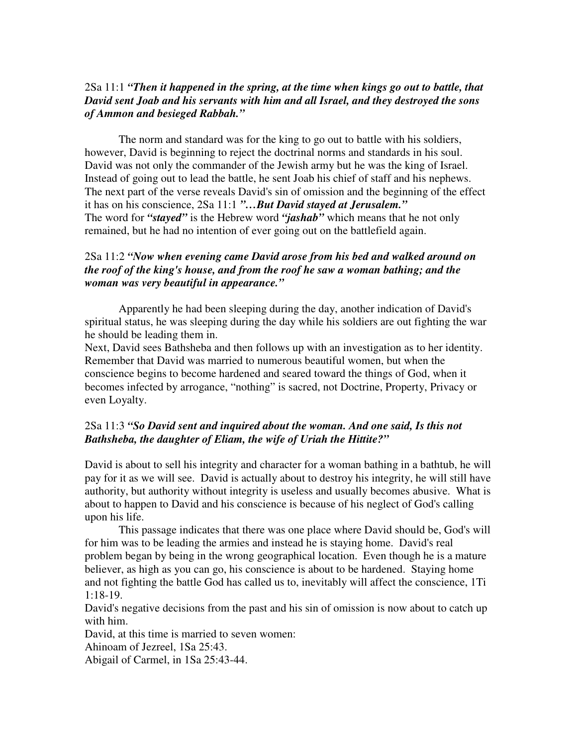### 2Sa 11:1 *"Then it happened in the spring, at the time when kings go out to battle, that David sent Joab and his servants with him and all Israel, and they destroyed the sons of Ammon and besieged Rabbah."*

The norm and standard was for the king to go out to battle with his soldiers, however, David is beginning to reject the doctrinal norms and standards in his soul. David was not only the commander of the Jewish army but he was the king of Israel. Instead of going out to lead the battle, he sent Joab his chief of staff and his nephews. The next part of the verse reveals David's sin of omission and the beginning of the effect it has on his conscience, 2Sa 11:1 *"…But David stayed at Jerusalem."* The word for *"stayed"* is the Hebrew word *"jashab"* which means that he not only remained, but he had no intention of ever going out on the battlefield again.

# 2Sa 11:2 *"Now when evening came David arose from his bed and walked around on the roof of the king's house, and from the roof he saw a woman bathing; and the woman was very beautiful in appearance."*

Apparently he had been sleeping during the day, another indication of David's spiritual status, he was sleeping during the day while his soldiers are out fighting the war he should be leading them in.

Next, David sees Bathsheba and then follows up with an investigation as to her identity. Remember that David was married to numerous beautiful women, but when the conscience begins to become hardened and seared toward the things of God, when it becomes infected by arrogance, "nothing" is sacred, not Doctrine, Property, Privacy or even Loyalty.

# 2Sa 11:3 *"So David sent and inquired about the woman. And one said, Is this not Bathsheba, the daughter of Eliam, the wife of Uriah the Hittite?"*

David is about to sell his integrity and character for a woman bathing in a bathtub, he will pay for it as we will see. David is actually about to destroy his integrity, he will still have authority, but authority without integrity is useless and usually becomes abusive. What is about to happen to David and his conscience is because of his neglect of God's calling upon his life.

This passage indicates that there was one place where David should be, God's will for him was to be leading the armies and instead he is staying home. David's real problem began by being in the wrong geographical location. Even though he is a mature believer, as high as you can go, his conscience is about to be hardened. Staying home and not fighting the battle God has called us to, inevitably will affect the conscience, 1Ti 1:18-19.

David's negative decisions from the past and his sin of omission is now about to catch up with him.

David, at this time is married to seven women:

Ahinoam of Jezreel, 1Sa 25:43.

Abigail of Carmel, in 1Sa 25:43-44.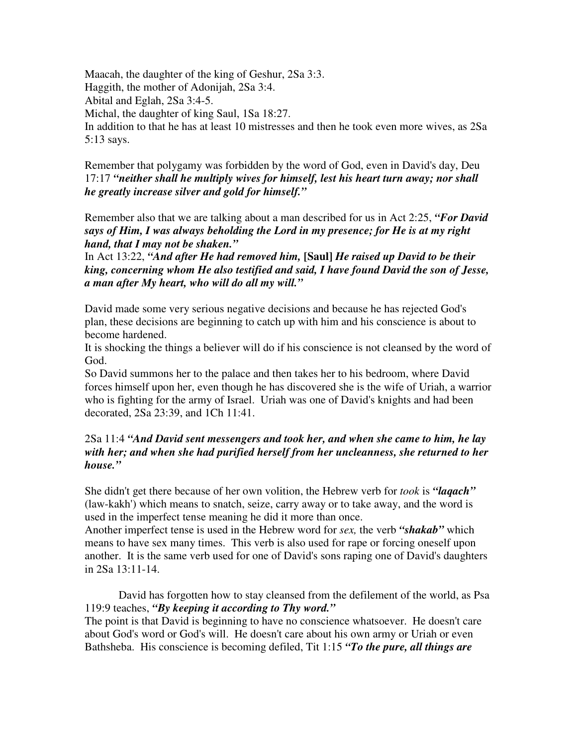Maacah, the daughter of the king of Geshur, 2Sa 3:3. Haggith, the mother of Adonijah, 2Sa 3:4. Abital and Eglah, 2Sa 3:4-5. Michal, the daughter of king Saul, 1Sa 18:27. In addition to that he has at least 10 mistresses and then he took even more wives, as 2Sa 5:13 says.

Remember that polygamy was forbidden by the word of God, even in David's day, Deu 17:17 *"neither shall he multiply wives for himself, lest his heart turn away; nor shall he greatly increase silver and gold for himself."*

Remember also that we are talking about a man described for us in Act 2:25, *"For David says of Him, I was always beholding the Lord in my presence; for He is at my right hand, that I may not be shaken."*

In Act 13:22, *"And after He had removed him,* **[Saul]** *He raised up David to be their king, concerning whom He also testified and said, I have found David the son of Jesse, a man after My heart, who will do all my will."*

David made some very serious negative decisions and because he has rejected God's plan, these decisions are beginning to catch up with him and his conscience is about to become hardened.

It is shocking the things a believer will do if his conscience is not cleansed by the word of God.

So David summons her to the palace and then takes her to his bedroom, where David forces himself upon her, even though he has discovered she is the wife of Uriah, a warrior who is fighting for the army of Israel. Uriah was one of David's knights and had been decorated, 2Sa 23:39, and 1Ch 11:41.

## 2Sa 11:4 *"And David sent messengers and took her, and when she came to him, he lay with her; and when she had purified herself from her uncleanness, she returned to her house."*

She didn't get there because of her own volition, the Hebrew verb for *took* is *"laqach"* (law-kakh') which means to snatch, seize, carry away or to take away, and the word is used in the imperfect tense meaning he did it more than once.

Another imperfect tense is used in the Hebrew word for *sex,* the verb *"shakab"* which means to have sex many times. This verb is also used for rape or forcing oneself upon another. It is the same verb used for one of David's sons raping one of David's daughters in 2Sa 13:11-14.

David has forgotten how to stay cleansed from the defilement of the world, as Psa 119:9 teaches, *"By keeping it according to Thy word."*

The point is that David is beginning to have no conscience whatsoever. He doesn't care about God's word or God's will. He doesn't care about his own army or Uriah or even Bathsheba. His conscience is becoming defiled, Tit 1:15 *"To the pure, all things are*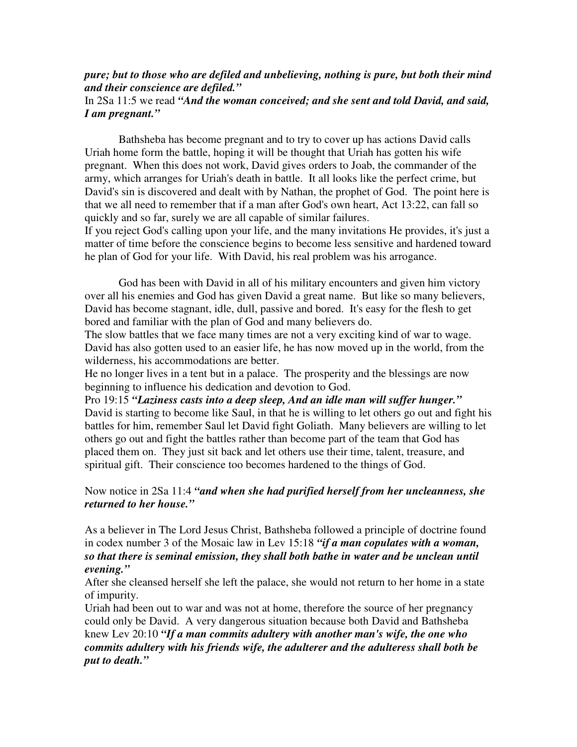#### *pure; but to those who are defiled and unbelieving, nothing is pure, but both their mind and their conscience are defiled."*

### In 2Sa 11:5 we read *"And the woman conceived; and she sent and told David, and said, I am pregnant."*

Bathsheba has become pregnant and to try to cover up has actions David calls Uriah home form the battle, hoping it will be thought that Uriah has gotten his wife pregnant. When this does not work, David gives orders to Joab, the commander of the army, which arranges for Uriah's death in battle. It all looks like the perfect crime, but David's sin is discovered and dealt with by Nathan, the prophet of God. The point here is that we all need to remember that if a man after God's own heart, Act 13:22, can fall so quickly and so far, surely we are all capable of similar failures.

If you reject God's calling upon your life, and the many invitations He provides, it's just a matter of time before the conscience begins to become less sensitive and hardened toward he plan of God for your life. With David, his real problem was his arrogance.

God has been with David in all of his military encounters and given him victory over all his enemies and God has given David a great name. But like so many believers, David has become stagnant, idle, dull, passive and bored. It's easy for the flesh to get bored and familiar with the plan of God and many believers do.

The slow battles that we face many times are not a very exciting kind of war to wage. David has also gotten used to an easier life, he has now moved up in the world, from the wilderness, his accommodations are better.

He no longer lives in a tent but in a palace. The prosperity and the blessings are now beginning to influence his dedication and devotion to God.

Pro 19:15 *"Laziness casts into a deep sleep, And an idle man will suffer hunger."* David is starting to become like Saul, in that he is willing to let others go out and fight his battles for him, remember Saul let David fight Goliath. Many believers are willing to let others go out and fight the battles rather than become part of the team that God has placed them on. They just sit back and let others use their time, talent, treasure, and spiritual gift. Their conscience too becomes hardened to the things of God.

#### Now notice in 2Sa 11:4 *"and when she had purified herself from her uncleanness, she returned to her house."*

As a believer in The Lord Jesus Christ, Bathsheba followed a principle of doctrine found in codex number 3 of the Mosaic law in Lev 15:18 *"if a man copulates with a woman, so that there is seminal emission, they shall both bathe in water and be unclean until evening."*

After she cleansed herself she left the palace, she would not return to her home in a state of impurity.

Uriah had been out to war and was not at home, therefore the source of her pregnancy could only be David. A very dangerous situation because both David and Bathsheba knew Lev 20:10 *"If a man commits adultery with another man's wife, the one who commits adultery with his friends wife, the adulterer and the adulteress shall both be put to death."*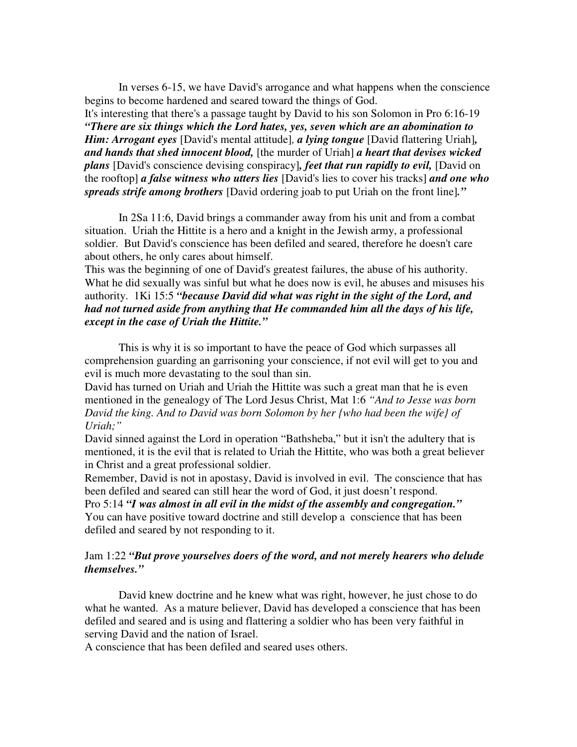In verses 6-15, we have David's arrogance and what happens when the conscience begins to become hardened and seared toward the things of God.

It's interesting that there's a passage taught by David to his son Solomon in Pro 6:16-19 *"There are six things which the Lord hates, yes, seven which are an abomination to Him: Arrogant eyes* [David's mental attitude]*, a lying tongue* [David flattering Uriah]*, and hands that shed innocent blood,* [the murder of Uriah] *a heart that devises wicked plans* [David's conscience devising conspiracy]*, feet that run rapidly to evil,* [David on the rooftop] *a false witness who utters lies* [David's lies to cover his tracks] *and one who spreads strife among brothers* [David ordering joab to put Uriah on the front line]*."*

In 2Sa 11:6, David brings a commander away from his unit and from a combat situation. Uriah the Hittite is a hero and a knight in the Jewish army, a professional soldier. But David's conscience has been defiled and seared, therefore he doesn't care about others, he only cares about himself.

This was the beginning of one of David's greatest failures, the abuse of his authority. What he did sexually was sinful but what he does now is evil, he abuses and misuses his authority. 1Ki 15:5 *"because David did what was right in the sight of the Lord, and had not turned aside from anything that He commanded him all the days of his life, except in the case of Uriah the Hittite."*

This is why it is so important to have the peace of God which surpasses all comprehension guarding an garrisoning your conscience, if not evil will get to you and evil is much more devastating to the soul than sin.

David has turned on Uriah and Uriah the Hittite was such a great man that he is even mentioned in the genealogy of The Lord Jesus Christ, Mat 1:6 *"And to Jesse was born David the king. And to David was born Solomon by her {who had been the wife} of Uriah;"*

David sinned against the Lord in operation "Bathsheba," but it isn't the adultery that is mentioned, it is the evil that is related to Uriah the Hittite, who was both a great believer in Christ and a great professional soldier.

Remember, David is not in apostasy, David is involved in evil. The conscience that has been defiled and seared can still hear the word of God, it just doesn't respond.

Pro 5:14 *"I was almost in all evil in the midst of the assembly and congregation."* You can have positive toward doctrine and still develop a conscience that has been defiled and seared by not responding to it.

#### Jam 1:22 *"But prove yourselves doers of the word, and not merely hearers who delude themselves."*

David knew doctrine and he knew what was right, however, he just chose to do what he wanted. As a mature believer, David has developed a conscience that has been defiled and seared and is using and flattering a soldier who has been very faithful in serving David and the nation of Israel.

A conscience that has been defiled and seared uses others.